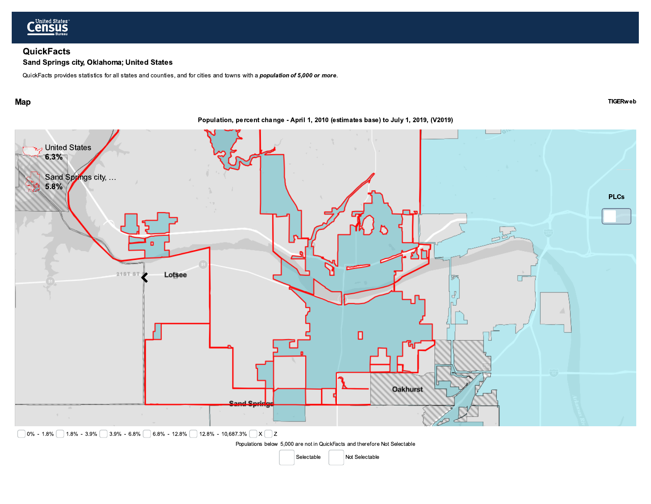

# **QuickFacts**

### Sand Springs city, Oklahoma; United States

QuickFacts provides statistics for all states and counties, and for cities and towns with a population of 5,000 or more.

## **Map**

**TIGERweb**